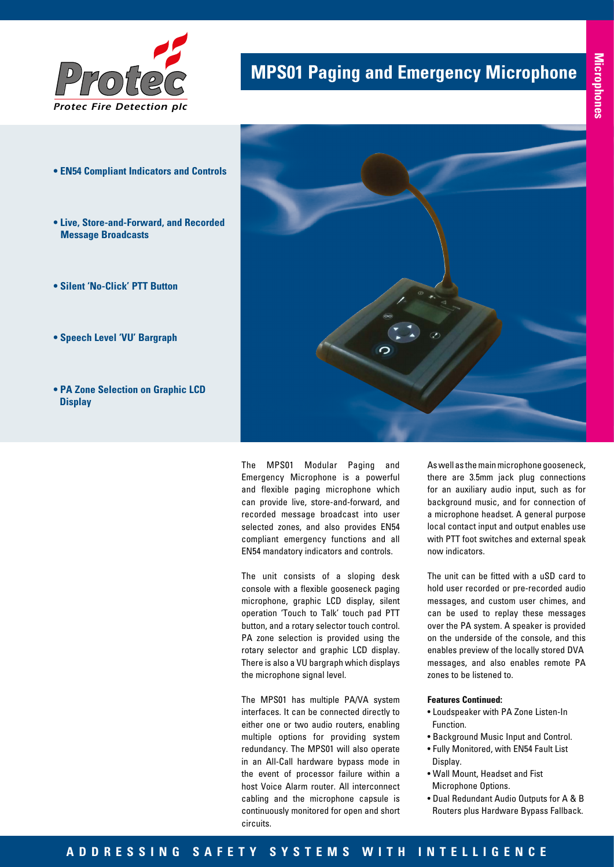

## **MPS01 Paging and Emergency Microphone**

- **EN54 Compliant Indicators and Controls**
- **Live, Store-and-Forward, and Recorded Message Broadcasts**
- **Silent 'No-Click' PTT Button**
- **Speech Level 'VU' Bargraph**
- **PA Zone Selection on Graphic LCD Display**



The MPS01 Modular Paging and Emergency Microphone is a powerful and flexible paging microphone which can provide live, store-and-forward, and recorded message broadcast into user selected zones, and also provides EN54 compliant emergency functions and all EN54 mandatory indicators and controls.

The unit consists of a sloping desk console with a flexible gooseneck paging microphone, graphic LCD display, silent operation 'Touch to Talk' touch pad PTT button, and a rotary selector touch control. PA zone selection is provided using the rotary selector and graphic LCD display. There is also a VU bargraph which displays the microphone signal level.

The MPS01 has multiple PA/VA system interfaces. It can be connected directly to either one or two audio routers, enabling multiple options for providing system redundancy. The MPS01 will also operate in an All-Call hardware bypass mode in the event of processor failure within a host Voice Alarm router. All interconnect cabling and the microphone capsule is continuously monitored for open and short circuits.

As well as the main microphone gooseneck, there are 3.5mm jack plug connections for an auxiliary audio input, such as for background music, and for connection of a microphone headset. A general purpose local contact input and output enables use with PTT foot switches and external speak now indicators.

The unit can be fitted with a uSD card to hold user recorded or pre-recorded audio messages, and custom user chimes, and can be used to replay these messages over the PA system. A speaker is provided on the underside of the console, and this enables preview of the locally stored DVA messages, and also enables remote PA zones to be listened to.

## **Features Continued:**

- Loudspeaker with PA Zone Listen-In Function.
- Background Music Input and Control.
- Fully Monitored, with EN54 Fault List Display.
- Wall Mount, Headset and Fist Microphone Options.
- Dual Redundant Audio Outputs for A & B Routers plus Hardware Bypass Fallback.